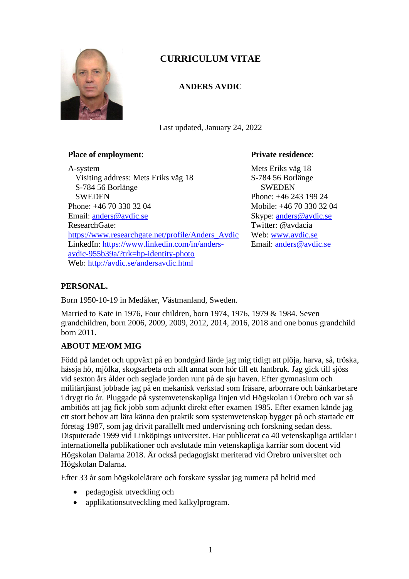

# **CURRICULUM VITAE**

# **ANDERS AVDIC**

Last updated, January 24, 2022

### **Place of employment**:

A-system Visiting address: Mets Eriks väg 18 S-784 56 Borlänge **SWEDEN** Phone: +46 70 330 32 04 Email: [anders@avdic.se](mailto:anders@avdic.se) ResearchGate: [https://www.researchgate.net/profile/Anders\\_Avdic](https://www.researchgate.net/profile/Anders_Avdic) LinkedIn: [https://www.linkedin.com/in/anders](https://www.linkedin.com/in/anders-avdic-955b39a/?trk=hp-identity-photo)[avdic-955b39a/?trk=hp-identity-photo](https://www.linkedin.com/in/anders-avdic-955b39a/?trk=hp-identity-photo) Web: http://avdic.se/andersavdic.html

## **Private residence**:

Mets Eriks väg 18 S-784 56 Borlänge **SWEDEN** Phone: +46 243 199 24 Mobile: +46 70 330 32 04 Skype: [anders@avdic.se](mailto:anders@avdic.se) Twitter: @avdacia Web: [www.avdic.se](http://www.avdic.se/) Email: [anders@avdic.se](mailto:anders@avdic.se)

# **PERSONAL.**

Born 1950-10-19 in Medåker, Västmanland, Sweden.

Married to Kate in 1976, Four children, born 1974, 1976, 1979 & 1984. Seven grandchildren, born 2006, 2009, 2009, 2012, 2014, 2016, 2018 and one bonus grandchild born 2011.

# **ABOUT ME/OM MIG**

Född på landet och uppväxt på en bondgård lärde jag mig tidigt att plöja, harva, så, tröska, hässja hö, mjölka, skogsarbeta och allt annat som hör till ett lantbruk. Jag gick till sjöss vid sexton års ålder och seglade jorden runt på de sju haven. Efter gymnasium och militärtjänst jobbade jag på en mekanisk verkstad som fräsare, arborrare och bänkarbetare i drygt tio år. Pluggade på systemvetenskapliga linjen vid Högskolan i Örebro och var så ambitiös att jag fick jobb som adjunkt direkt efter examen 1985. Efter examen kände jag ett stort behov att lära känna den praktik som systemvetenskap bygger på och startade ett företag 1987, som jag drivit parallellt med undervisning och forskning sedan dess. Disputerade 1999 vid Linköpings universitet. Har publicerat ca 40 vetenskapliga artiklar i internationella publikationer och avslutade min vetenskapliga karriär som docent vid Högskolan Dalarna 2018. Är också pedagogiskt meriterad vid Örebro universitet och Högskolan Dalarna.

Efter 33 år som högskolelärare och forskare sysslar jag numera på heltid med

- pedagogisk utveckling och
- applikationsutveckling med kalkylprogram.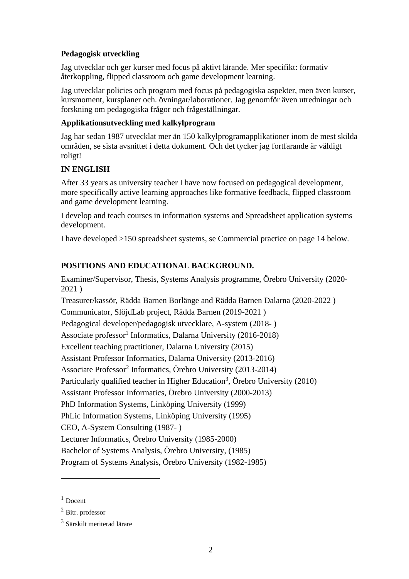## **Pedagogisk utveckling**

Jag utvecklar och ger kurser med focus på aktivt lärande. Mer specifikt: formativ återkoppling, flipped classroom och game development learning.

Jag utvecklar policies och program med focus på pedagogiska aspekter, men även kurser, kursmoment, kursplaner och. övningar/laborationer. Jag genomför även utredningar och forskning om pedagogiska frågor och frågeställningar.

# **Applikationsutveckling med kalkylprogram**

Jag har sedan 1987 utvecklat mer än 150 kalkylprogramapplikationer inom de mest skilda områden, se sista avsnittet i detta dokument. Och det tycker jag fortfarande är väldigt roligt!

# **IN ENGLISH**

After 33 years as university teacher I have now focused on pedagogical development, more specifically active learning approaches like formative feedback, flipped classroom and game development learning.

I develop and teach courses in information systems and Spreadsheet application systems development.

I have developed >150 spreadsheet systems, se Commercial practice on page 14 below.

# **POSITIONS AND EDUCATIONAL BACKGROUND.**

Examiner/Supervisor, Thesis, Systems Analysis programme, Örebro University (2020- 2021 )

Treasurer/kassör, Rädda Barnen Borlänge and Rädda Barnen Dalarna (2020-2022 ) Communicator, SlöjdLab project, Rädda Barnen (2019-2021 ) Pedagogical developer/pedagogisk utvecklare, A-system (2018- ) Associate professor<sup>1</sup> Informatics, Dalarna University (2016-2018) Excellent teaching practitioner, Dalarna University (2015) Assistant Professor Informatics, Dalarna University (2013-2016) Associate Professor<sup>2</sup> Informatics, Örebro University (2013-2014) Particularly qualified teacher in Higher Education<sup>3</sup>, Örebro University (2010) Assistant Professor Informatics, Örebro University (2000-2013) PhD Information Systems, Linköping University (1999) PhLic Information Systems, Linköping University (1995) CEO, A-System Consulting (1987- ) Lecturer Informatics, Örebro University (1985-2000) Bachelor of Systems Analysis, Örebro University, (1985) Program of Systems Analysis, Örebro University (1982-1985)

 $1$  Docent

<sup>2</sup> Bitr. professor

<sup>&</sup>lt;sup>3</sup> Särskilt meriterad lärare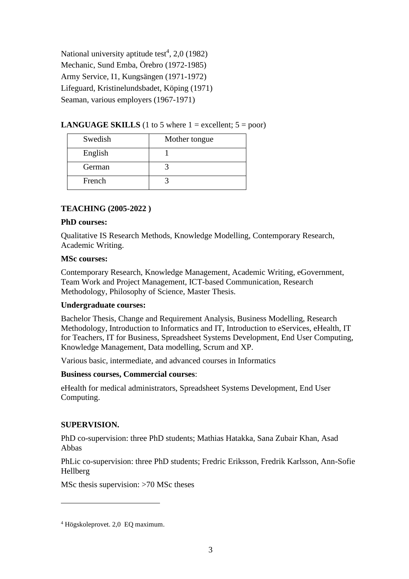National university aptitude test<sup>4</sup>, 2,0 (1982) Mechanic, Sund Emba, Örebro (1972-1985) Army Service, I1, Kungsängen (1971-1972) Lifeguard, Kristinelundsbadet, Köping (1971) Seaman, various employers (1967-1971)

### **LANGUAGE SKILLS** (1 to 5 where  $1 =$  excellent;  $5 =$  poor)

| Swedish | Mother tongue |
|---------|---------------|
| English |               |
| German  |               |
| French  |               |

## **TEACHING (2005-2022 )**

#### **PhD courses:**

Qualitative IS Research Methods, Knowledge Modelling, Contemporary Research, Academic Writing.

#### **MSc courses:**

Contemporary Research, Knowledge Management, Academic Writing, eGovernment, Team Work and Project Management, ICT-based Communication, Research Methodology, Philosophy of Science, Master Thesis.

### **Undergraduate courses:**

Bachelor Thesis, Change and Requirement Analysis, Business Modelling, Research Methodology, Introduction to Informatics and IT, Introduction to eServices, eHealth, IT for Teachers, IT for Business, Spreadsheet Systems Development, End User Computing, Knowledge Management, Data modelling, Scrum and XP.

Various basic, intermediate, and advanced courses in Informatics

### **Business courses, Commercial courses**:

eHealth for medical administrators, Spreadsheet Systems Development, End User Computing.

### **SUPERVISION.**

PhD co-supervision: three PhD students; Mathias Hatakka, Sana Zubair Khan, Asad Abbas

PhLic co-supervision: three PhD students; Fredric Eriksson, Fredrik Karlsson, Ann-Sofie Hellberg

MSc thesis supervision: >70 MSc theses

<sup>4</sup> Högskoleprovet. 2,0 EQ maximum.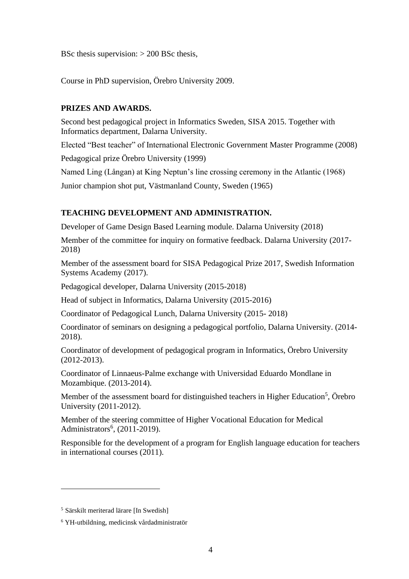BSc thesis supervision:  $> 200$  BSc thesis,

Course in PhD supervision, Örebro University 2009.

### **PRIZES AND AWARDS.**

Second best pedagogical project in Informatics Sweden, SISA 2015. Together with Informatics department, Dalarna University.

Elected "Best teacher" of International Electronic Government Master Programme (2008)

Pedagogical prize Örebro University (1999)

Named Ling (Långan) at King Neptun's line crossing ceremony in the Atlantic (1968)

Junior champion shot put, Västmanland County, Sweden (1965)

# **TEACHING DEVELOPMENT AND ADMINISTRATION.**

Developer of Game Design Based Learning module. Dalarna University (2018)

Member of the committee for inquiry on formative feedback. Dalarna University (2017- 2018)

Member of the assessment board for SISA Pedagogical Prize 2017, Swedish Information Systems Academy (2017).

Pedagogical developer, Dalarna University (2015-2018)

Head of subject in Informatics, Dalarna University (2015-2016)

Coordinator of Pedagogical Lunch, Dalarna University (2015- 2018)

Coordinator of seminars on designing a pedagogical portfolio, Dalarna University. (2014- 2018).

Coordinator of development of pedagogical program in Informatics, Örebro University (2012-2013).

Coordinator of Linnaeus-Palme exchange with Universidad Eduardo Mondlane in Mozambique. (2013-2014).

Member of the assessment board for distinguished teachers in Higher Education<sup>5</sup>, Örebro University (2011-2012).

Member of the steering committee of Higher Vocational Education for Medical Administrators<sup>6</sup>, (2011-2019).

Responsible for the development of a program for English language education for teachers in international courses (2011).

<sup>5</sup> Särskilt meriterad lärare [In Swedish]

<sup>6</sup> YH-utbildning, medicinsk vårdadministratör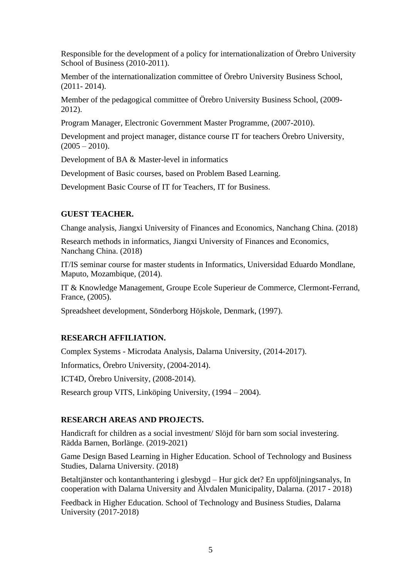Responsible for the development of a policy for internationalization of Örebro University School of Business (2010-2011).

Member of the internationalization committee of Örebro University Business School, (2011- 2014).

Member of the pedagogical committee of Örebro University Business School, (2009- 2012).

Program Manager, Electronic Government Master Programme, (2007-2010).

Development and project manager, distance course IT for teachers Örebro University,  $(2005 - 2010)$ .

Development of BA & Master-level in informatics

Development of Basic courses, based on Problem Based Learning.

Development Basic Course of IT for Teachers, IT for Business.

## **GUEST TEACHER.**

Change analysis, Jiangxi University of Finances and Economics, Nanchang China. (2018)

Research methods in informatics, Jiangxi University of Finances and Economics, Nanchang China. (2018)

IT/IS seminar course for master students in Informatics, Universidad Eduardo Mondlane, Maputo, Mozambique, (2014).

IT & Knowledge Management, Groupe Ecole Superieur de Commerce, Clermont-Ferrand, France, (2005).

Spreadsheet development, Sönderborg Höjskole, Denmark, (1997).

### **RESEARCH AFFILIATION.**

Complex Systems - Microdata Analysis, Dalarna University, (2014-2017).

Informatics, Örebro University, (2004-2014).

ICT4D, Örebro University, (2008-2014).

Research group VITS, Linköping University, (1994 – 2004).

### **RESEARCH AREAS AND PROJECTS.**

Handicraft for children as a social investment/ Slöjd för barn som social investering. Rädda Barnen, Borlänge. (2019-2021)

Game Design Based Learning in Higher Education. School of Technology and Business Studies, Dalarna University. (2018)

Betaltjänster och kontanthantering i glesbygd – Hur gick det? En uppföljningsanalys, In cooperation with Dalarna University and Älvdalen Municipality, Dalarna. (2017 - 2018)

Feedback in Higher Education. School of Technology and Business Studies, Dalarna University (2017-2018)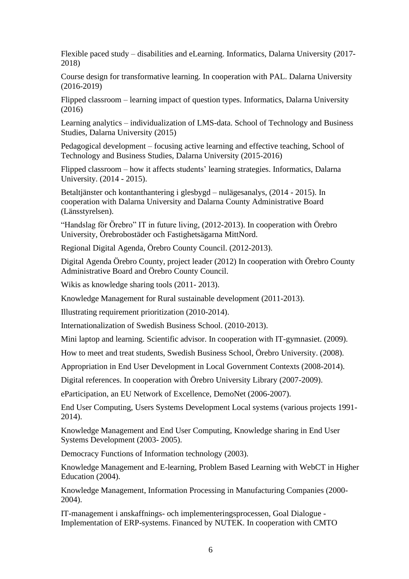Flexible paced study – disabilities and eLearning. Informatics, Dalarna University (2017- 2018)

Course design for transformative learning. In cooperation with PAL. Dalarna University (2016-2019)

Flipped classroom – learning impact of question types. Informatics, Dalarna University (2016)

Learning analytics – individualization of LMS-data. School of Technology and Business Studies, Dalarna University (2015)

Pedagogical development – focusing active learning and effective teaching, School of Technology and Business Studies, Dalarna University (2015-2016)

Flipped classroom – how it affects students' learning strategies. Informatics, Dalarna University. (2014 - 2015).

Betaltjänster och kontanthantering i glesbygd – nulägesanalys, (2014 - 2015). In cooperation with Dalarna University and Dalarna County Administrative Board (Länsstyrelsen).

"Handslag för Örebro" IT in future living, (2012-2013). In cooperation with Örebro University, Örebrobostäder och Fastighetsägarna MittNord.

Regional Digital Agenda, Örebro County Council. (2012-2013).

Digital Agenda Örebro County, project leader (2012) In cooperation with Örebro County Administrative Board and Örebro County Council.

Wikis as knowledge sharing tools (2011- 2013).

Knowledge Management for Rural sustainable development (2011-2013).

Illustrating requirement prioritization (2010-2014).

Internationalization of Swedish Business School. (2010-2013).

Mini laptop and learning. Scientific advisor. In cooperation with IT-gymnasiet. (2009).

How to meet and treat students, Swedish Business School, Örebro University. (2008).

Appropriation in End User Development in Local Government Contexts (2008-2014).

Digital references. In cooperation with Örebro University Library (2007-2009).

eParticipation, an EU Network of Excellence, DemoNet (2006-2007).

End User Computing, Users Systems Development Local systems (various projects 1991- 2014).

Knowledge Management and End User Computing, Knowledge sharing in End User Systems Development (2003- 2005).

Democracy Functions of Information technology (2003).

Knowledge Management and E-learning, Problem Based Learning with WebCT in Higher Education (2004).

Knowledge Management, Information Processing in Manufacturing Companies (2000- 2004).

IT-management i anskaffnings- och implementeringsprocessen, Goal Dialogue - Implementation of ERP-systems. Financed by NUTEK. In cooperation with CMTO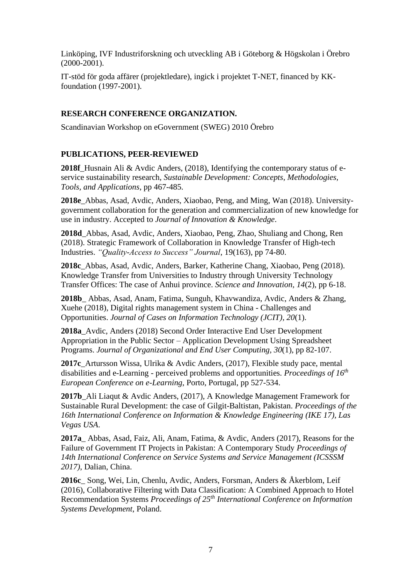Linköping, IVF Industriforskning och utveckling AB i Göteborg & Högskolan i Örebro (2000-2001).

IT-stöd för goda affärer (projektledare), ingick i projektet T-NET, financed by KKfoundation (1997-2001).

## **RESEARCH CONFERENCE ORGANIZATION.**

Scandinavian Workshop on eGovernment (SWEG) 2010 Örebro

## **PUBLICATIONS, PEER-REVIEWED**

**2018f**\_Husnain Ali & Avdic Anders, (2018), Identifying the contemporary status of eservice sustainability research, *Sustainable Development: Concepts, Methodologies, Tools, and Applications*, pp 467-485.

**2018e**\_Abbas, Asad, Avdic, Anders, Xiaobao, Peng, and Ming, Wan (2018). Universitygovernment collaboration for the generation and commercialization of new knowledge for use in industry. Accepted to *Journal of Innovation & Knowledge*.

**2018d**\_Abbas, Asad, Avdic, Anders, Xiaobao, Peng, Zhao, Shuliang and Chong, Ren (2018). Strategic Framework of Collaboration in Knowledge Transfer of High-tech Industries. *"Quality-Access to Success" Journal*, 19(163), pp 74-80.

**2018c**\_Abbas, Asad, Avdic, Anders, Barker, Katherine Chang, Xiaobao, Peng (2018). Knowledge Transfer from Universities to Industry through University Technology Transfer Offices: The case of Anhui province. *Science and Innovation, 14*(2), pp 6-18.

**2018b**\_ Abbas, Asad, Anam, Fatima, Sunguh, Khavwandiza, Avdic, Anders & Zhang, Xuehe (2018), Digital rights management system in China - Challenges and Opportunities. *Journal of Cases on Information Technology (JCIT), 20*(1).

**2018a**\_Avdic, Anders (2018) Second Order Interactive End User Development Appropriation in the Public Sector – Application Development Using Spreadsheet Programs. *Journal of Organizational and End User Computing, 30*(1), pp 82-107.

**2017c**\_Artursson Wissa, Ulrika & Avdic Anders, (2017), Flexible study pace, mental disabilities and e-Learning - perceived problems and opportunities. *Proceedings of 16 th European Conference on e-Learning*, Porto, Portugal, pp 527-534.

**2017b**\_Ali Liaqut & Avdic Anders, (2017), A Knowledge Management Framework for Sustainable Rural Development: the case of Gilgit-Baltistan, Pakistan. *Proceedings of the 16th International Conference on Information & Knowledge Engineering (IKE 17), Las Vegas USA*.

**2017a**\_ Abbas, Asad, Faiz, Ali, Anam, Fatima, & Avdic, Anders (2017), Reasons for the Failure of Government IT Projects in Pakistan: A Contemporary Study *Proceedings of 14th International Conference on Service Systems and Service Management (ICSSSM 2017)*, Dalian, China.

**2016c**\_ Song, Wei, Lin, Chenlu, Avdic, Anders, Forsman, Anders & Åkerblom, Leif (2016), Collaborative Filtering with Data Classification: A Combined Approach to Hotel Recommendation Systems *Proceedings of 25th International Conference on Information Systems Development*, Poland.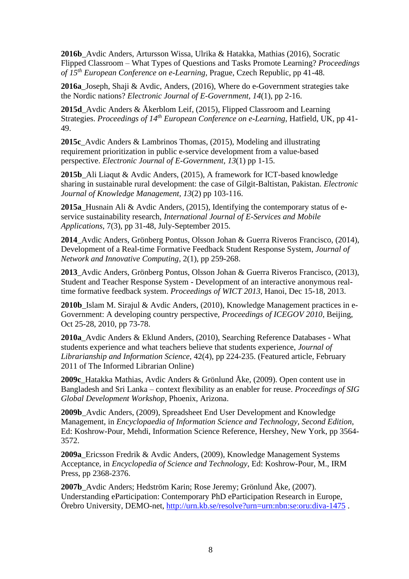**2016b**\_Avdic Anders, Artursson Wissa, Ulrika & Hatakka, Mathias (2016), Socratic Flipped Classroom – What Types of Questions and Tasks Promote Learning? *Proceedings of 15 th European Conference on e-Learning*, Prague, Czech Republic, pp 41-48.

**2016a**\_Joseph, Shaji & Avdic, Anders, (2016), Where do e-Government strategies take the Nordic nations? *Electronic Journal of E-Government, 14*(1), pp 2-16.

**2015d** Avdic Anders & Åkerblom Leif, (2015), Flipped Classroom and Learning Strategies. *Proceedings of 14th European Conference on e-Learning*, Hatfield, UK, pp 41- 49.

**2015c**\_Avdic Anders & Lambrinos Thomas, (2015), Modeling and illustrating requirement prioritization in public e-service development from a value-based perspective. *Electronic Journal of E-Government, 13*(1) pp 1-15.

**2015b**\_Ali Liaqut & Avdic Anders, (2015), A framework for ICT-based knowledge sharing in sustainable rural development: the case of Gilgit-Baltistan, Pakistan. *Electronic Journal of Knowledge Management, 13*(2) pp 103-116.

**2015a**\_Husnain Ali & Avdic Anders, (2015), Identifying the contemporary status of eservice sustainability research, *International Journal of E-Services and Mobile Applications*, 7(3), pp 31-48, July-September 2015.

**2014**\_Avdic Anders, Grönberg Pontus, Olsson Johan & Guerra Riveros Francisco, (2014), Development of a Real-time Formative Feedback Student Response System, *Journal of Network and Innovative Computing,* 2(1), pp 259-268.

**2013**\_Avdic Anders, Grönberg Pontus, Olsson Johan & Guerra Riveros Francisco, (2013), Student and Teacher Response System - Development of an interactive anonymous realtime formative feedback system. *Proceedings of WICT 2013*, Hanoi, Dec 15-18, 2013.

2010b Islam M. Sirajul & Avdic Anders, (2010), Knowledge Management practices in e-Government: A developing country perspective, *Proceedings of ICEGOV 2010*, Beijing, Oct 25-28, 2010, pp 73-78.

**2010a**\_Avdic Anders & Eklund Anders, (2010), Searching Reference Databases - What students experience and what teachers believe that students experience, *Journal of Librarianship and Information Science*, 42(4), pp 224-235. (Featured article, February 2011 of The Informed Librarian Online)

**2009c**\_Hatakka Mathias, Avdic Anders & Grönlund Åke, (2009). Open content use in Bangladesh and Sri Lanka – context flexibility as an enabler for reuse. *Proceedings of SIG Global Development Workshop*, Phoenix, Arizona.

**2009b**\_Avdic Anders, (2009), Spreadsheet End User Development and Knowledge Management, in *Encyclopaedia of Information Science and Technology, Second Edition*, Ed: Koshrow-Pour, Mehdi, Information Science Reference, Hershey, New York, pp 3564- 3572.

**2009a**\_Ericsson Fredrik & Avdic Anders, (2009), Knowledge Management Systems Acceptance, in *Encyclopedia of Science and Technology*, Ed: Koshrow-Pour, M., IRM Press, pp 2368-2376.

**2007b**\_Avdic Anders; Hedström Karin; Rose Jeremy; Grönlund Åke, (2007). Understanding eParticipation: Contemporary PhD eParticipation Research in Europe, Örebro University, DEMO-net,<http://urn.kb.se/resolve?urn=urn:nbn:se:oru:diva-1475> .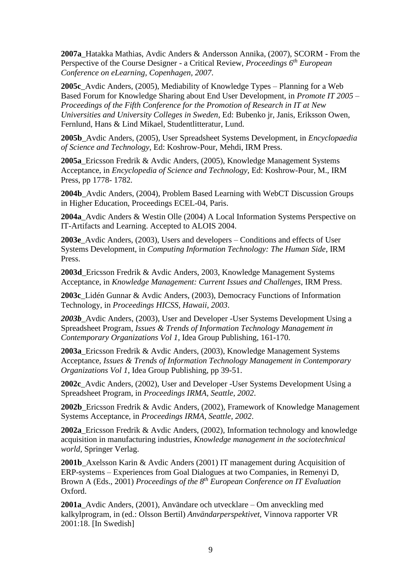**2007a**\_Hatakka Mathias, Avdic Anders & Andersson Annika, (2007), SCORM - From the Perspective of the Course Designer - a Critical Review, *Proceedings 6th European Conference on eLearning, Copenhagen, 2007*.

**2005c**\_Avdic Anders, (2005), Mediability of Knowledge Types – Planning for a Web Based Forum for Knowledge Sharing about End User Development, in *Promote IT 2005 – Proceedings of the Fifth Conference for the Promotion of Research in IT at New Universities and University Colleges in Sweden*, Ed: Bubenko jr, Janis, Eriksson Owen, Fernlund, Hans & Lind Mikael, Studentlitteratur, Lund.

**2005b**\_Avdic Anders, (2005), User Spreadsheet Systems Development, in *Encyclopaedia of Science and Technology*, Ed: Koshrow-Pour, Mehdi, IRM Press.

**2005a**\_Ericsson Fredrik & Avdic Anders, (2005), Knowledge Management Systems Acceptance, in *Encyclopedia of Science and Technology*, Ed: Koshrow-Pour, M., IRM Press, pp 1778- 1782.

**2004b**\_Avdic Anders, (2004), Problem Based Learning with WebCT Discussion Groups in Higher Education, Proceedings ECEL-04, Paris.

**2004a**\_Avdic Anders & Westin Olle (2004) A Local Information Systems Perspective on IT-Artifacts and Learning. Accepted to ALOIS 2004.

**2003e**\_Avdic Anders, (2003), Users and developers – Conditions and effects of User Systems Development, in *Computing Information Technology: The Human Side*, IRM Press.

**2003d**\_Ericsson Fredrik & Avdic Anders, 2003, Knowledge Management Systems Acceptance, in *Knowledge Management: Current Issues and Challenges*, IRM Press.

**2003c**\_Lidén Gunnar & Avdic Anders, (2003), Democracy Functions of Information Technology, in *Proceedings HICSS, Hawaii, 2003*.

*2003b*\_Avdic Anders, (2003), User and Developer -User Systems Development Using a Spreadsheet Program, *Issues & Trends of Information Technology Management in Contemporary Organizations Vol 1,* Idea Group Publishing, 161-170.

**2003a**\_Ericsson Fredrik & Avdic Anders, (2003), Knowledge Management Systems Acceptance, *Issues & Trends of Information Technology Management in Contemporary Organizations Vol 1, Idea Group Publishing, pp 39-51.* 

**2002c**\_Avdic Anders, (2002), User and Developer -User Systems Development Using a Spreadsheet Program, in *Proceedings IRMA, Seattle, 2002*.

**2002b**\_Ericsson Fredrik & Avdic Anders, (2002), Framework of Knowledge Management Systems Acceptance, in *Proceedings IRMA, Seattle, 2002*.

**2002a**\_Ericsson Fredrik & Avdic Anders, (2002), Information technology and knowledge acquisition in manufacturing industries, *Knowledge management in the sociotechnical world,* Springer Verlag.

2001b Axelsson Karin & Avdic Anders (2001) IT management during Acquisition of ERP-systems – Experiences from Goal Dialogues at two Companies, in Remenyi D, Brown A (Eds., 2001) *Proceedings of the 8th European Conference on IT Evaluation* Oxford.

**2001a**\_Avdic Anders, (2001), Användare och utvecklare – Om anveckling med kalkylprogram, in (ed.: Olsson Bertil) *Användarperspektivet,* Vinnova rapporter VR 2001:18. [In Swedish]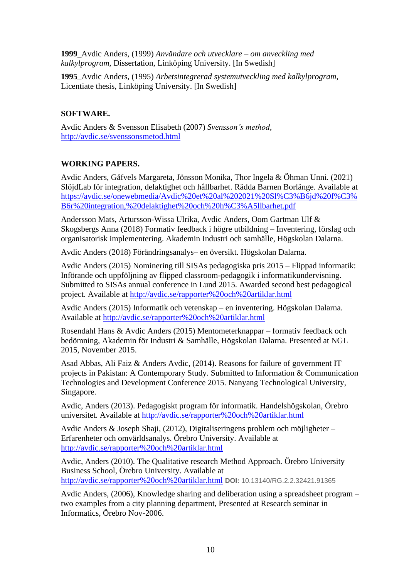**1999**\_Avdic Anders, (1999) *Användare och utvecklare – om anveckling med kalkylprogram*, Dissertation, Linköping University. [In Swedish]

**1995**\_Avdic Anders, (1995) *Arbetsintegrerad systemutveckling med kalkylprogram*, Licentiate thesis, Linköping University. [In Swedish]

# **SOFTWARE.**

Avdic Anders & Svensson Elisabeth (2007) *Svensson's method*, <http://avdic.se/svenssonsmetod.html>

## **WORKING PAPERS.**

Avdic Anders, Gåfvels Margareta, Jönsson Monika, Thor Ingela & Öhman Unni. (2021) SlöjdLab för integration, delaktighet och hållbarhet. Rädda Barnen Borlänge. Available at [https://avdic.se/onewebmedia/Avdic%20et%20al%202021%20Sl%C3%B6jd%20f%C3%](https://avdic.se/onewebmedia/Avdic%20et%20al%202021%20Sl%C3%B6jd%20f%C3%B6r%20integration,%20delaktighet%20och%20h%C3%A5llbarhet.pdf) [B6r%20integration,%20delaktighet%20och%20h%C3%A5llbarhet.pdf](https://avdic.se/onewebmedia/Avdic%20et%20al%202021%20Sl%C3%B6jd%20f%C3%B6r%20integration,%20delaktighet%20och%20h%C3%A5llbarhet.pdf)

Andersson Mats, Artursson-Wissa Ulrika, Avdic Anders, Oom Gartman Ulf & Skogsbergs Anna (2018) Formativ feedback i högre utbildning – Inventering, förslag och organisatorisk implementering. Akademin Industri och samhälle, Högskolan Dalarna.

Avdic Anders (2018) Förändringsanalys– en översikt. Högskolan Dalarna.

Avdic Anders (2015) Nominering till SISAs pedagogiska pris 2015 – Flippad informatik: Införande och uppföljning av flipped classroom-pedagogik i informatikundervisning. Submitted to SISAs annual conference in Lund 2015. Awarded second best pedagogical project. Available at<http://avdic.se/rapporter%20och%20artiklar.html>

Avdic Anders (2015) Informatik och vetenskap – en inventering. Högskolan Dalarna. Available at<http://avdic.se/rapporter%20och%20artiklar.html>

Rosendahl Hans & Avdic Anders (2015) Mentometerknappar – formativ feedback och bedömning, Akademin för Industri & Samhälle, Högskolan Dalarna. Presented at NGL 2015, November 2015.

Asad Abbas, Ali Faiz & Anders Avdic, (2014). Reasons for failure of government IT projects in Pakistan: A Contemporary Study. Submitted to Information & Communication Technologies and Development Conference 2015. Nanyang Technological University, Singapore.

Avdic, Anders (2013). Pedagogiskt program för informatik. Handelshögskolan, Örebro universitet. Available at<http://avdic.se/rapporter%20och%20artiklar.html>

Avdic Anders & Joseph Shaji, (2012), Digitaliseringens problem och möjligheter – Erfarenheter och omvärldsanalys. Örebro University. Available at <http://avdic.se/rapporter%20och%20artiklar.html>

Avdic, Anders (2010). The Qualitative research Method Approach. Örebro University Business School, Örebro University. Available at <http://avdic.se/rapporter%20och%20artiklar.html> **DOI:** 10.13140/RG.2.2.32421.91365

Avdic Anders, (2006), Knowledge sharing and deliberation using a spreadsheet program – two examples from a city planning department, Presented at Research seminar in Informatics, Örebro Nov-2006.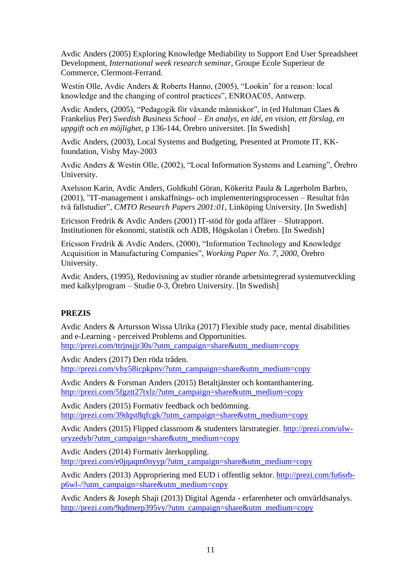Avdic Anders (2005) Exploring Knowledge Mediability to Support End User Spreadsheet Development, *International week research seminar*, Groupe Ecole Superieur de Commerce, Clermont-Ferrand.

Westin Olle, Avdic Anders & Roberts Hanno, (2005), "Lookin' for a reason: local knowledge and the changing of control practices", ENROAC05, Antwerp.

Avdic Anders, (2005), "Pedagogik för växande människor", in (ed Hultman Claes & Frankelius Per) *Swedish Business School – En analys, en idé, en vision, ett förslag, en uppgift och en möjlighet*, p 136-144, Örebro universitet. [In Swedish]

Avdic Anders, (2003), Local Systems and Budgeting, Presented at Promote IT, KKfoundation, Visby May-2003

Avdic Anders & Westin Olle, (2002), "Local Information Systems and Learning", Örebro University.

Axelsson Karin, Avdic Anders, Goldkuhl Göran, Kökeritz Paula & Lagerholm Barbro, (2001), "IT-management i anskaffnings- och implementeringsprocessen – Resultat från två fallstudier", *CMTO Research Papers 2001:01,* Linköping University. [In Swedish]

Ericsson Fredrik & Avdic Anders (2001) IT-stöd för goda affärer – Slutrapport. Institutionen för ekonomi, statistik och ADB, Högskolan i Örebro. [In Swedish]

Ericsson Fredrik & Avdic Anders, (2000), "Information Technology and Knowledge Acquisition in Manufacturing Companies", *Working Paper No. 7, 2000,* Örebro University.

Avdic Anders, (1995), Redovisning av studier rörande arbetsintegrerad systemutveckling med kalkylprogram – Studie 0-3, Örebro University. [In Swedish]

### **PREZIS**

Avdic Anders & Artursson Wissa Ulrika (2017) Flexible study pace, mental disabilities and e-Learning - perceived Problems and Opportunities. [http://prezi.com/ttrjnsjjr30s/?utm\\_campaign=share&utm\\_medium=copy](http://prezi.com/ttrjnsjjr30s/?utm_campaign=share&utm_medium=copy)

Avdic Anders (2017) Den röda tråden. [http://prezi.com/vhy58icpkpnv/?utm\\_campaign=share&utm\\_medium=copy](http://prezi.com/vhy58icpkpnv/?utm_campaign=share&utm_medium=copy)

Avdic Anders & Forsman Anders (2015) Betaltjänster och kontanthantering. [http://prezi.com/5fgztt27txlz/?utm\\_campaign=share&utm\\_medium=copy](http://prezi.com/5fgztt27txlz/?utm_campaign=share&utm_medium=copy)

Avdic Anders (2015) Formativ feedback och bedömning. [http://prezi.com/39dqst8qfcgk/?utm\\_campaign=share&utm\\_medium=copy](http://prezi.com/39dqst8qfcgk/?utm_campaign=share&utm_medium=copy)

Avdic Anders (2015) Flipped classroom & studenters lärstrategier. [http://prezi.com/ulw](http://prezi.com/ulw-uryzedyb/?utm_campaign=share&utm_medium=copy)[uryzedyb/?utm\\_campaign=share&utm\\_medium=copy](http://prezi.com/ulw-uryzedyb/?utm_campaign=share&utm_medium=copy)

Avdic Anders (2014) Formativ återkoppling. [http://prezi.com/e0jqaqm0nyyp/?utm\\_campaign=share&utm\\_medium=copy](http://prezi.com/e0jqaqm0nyyp/?utm_campaign=share&utm_medium=copy)

Avdic Anders (2013) Appropriering med EUD i offentlig sektor. [http://prezi.com/fu6srb](http://prezi.com/fu6srb-p6wl-/?utm_campaign=share&utm_medium=copy)[p6wl-/?utm\\_campaign=share&utm\\_medium=copy](http://prezi.com/fu6srb-p6wl-/?utm_campaign=share&utm_medium=copy)

Avdic Anders & Joseph Shaji (2013) Digital Agenda - erfarenheter och omvärldsanalys. [http://prezi.com/9qdmerp395vy/?utm\\_campaign=share&utm\\_medium=copy](http://prezi.com/9qdmerp395vy/?utm_campaign=share&utm_medium=copy)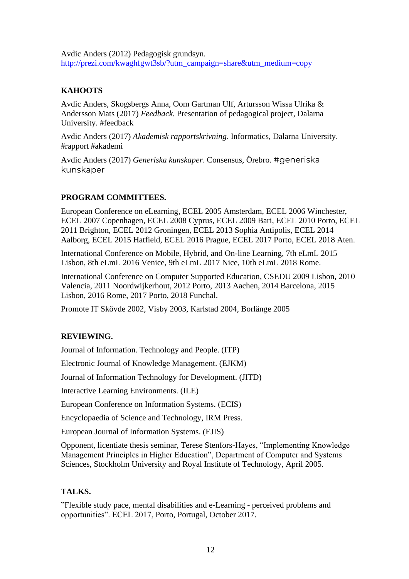Avdic Anders (2012) Pedagogisk grundsyn. [http://prezi.com/kwaghfgwt3sb/?utm\\_campaign=share&utm\\_medium=copy](http://prezi.com/kwaghfgwt3sb/?utm_campaign=share&utm_medium=copy) 

# **KAHOOTS**

Avdic Anders, Skogsbergs Anna, Oom Gartman Ulf, Artursson Wissa Ulrika & Andersson Mats (2017) *Feedback*. Presentation of pedagogical project, Dalarna University. #feedback

Avdic Anders (2017) *Akademisk rapportskrivning*. Informatics, Dalarna University. #rapport #akademi

Avdic Anders (2017) *Generiska kunskaper*. Consensus, Örebro. #generiska kunskaper

## **PROGRAM COMMITTEES.**

European Conference on eLearning, ECEL 2005 Amsterdam, ECEL 2006 Winchester, ECEL 2007 Copenhagen, ECEL 2008 Cyprus, ECEL 2009 Bari, ECEL 2010 Porto, ECEL 2011 Brighton, ECEL 2012 Groningen, ECEL 2013 Sophia Antipolis, ECEL 2014 Aalborg, ECEL 2015 Hatfield, ECEL 2016 Prague, ECEL 2017 Porto, ECEL 2018 Aten.

International Conference on Mobile, Hybrid, and On-line Learning, 7th eLmL 2015 Lisbon, 8th eLmL 2016 Venice, 9th eLmL 2017 Nice, 10th eLmL 2018 Rome.

International Conference on Computer Supported Education, CSEDU 2009 Lisbon, 2010 Valencia, 2011 Noordwijkerhout, 2012 Porto, 2013 Aachen, 2014 Barcelona, 2015 Lisbon, 2016 Rome, 2017 Porto, 2018 Funchal.

Promote IT Skövde 2002, Visby 2003, Karlstad 2004, Borlänge 2005

### **REVIEWING.**

Journal of Information. Technology and People. (ITP)

Electronic Journal of Knowledge Management. (EJKM)

Journal of Information Technology for Development. (JITD)

Interactive Learning Environments. (ILE)

European Conference on Information Systems. (ECIS)

Encyclopaedia of Science and Technology, IRM Press.

European Journal of Information Systems. (EJIS)

Opponent, licentiate thesis seminar, Terese Stenfors-Hayes, "Implementing Knowledge Management Principles in Higher Education", Department of Computer and Systems Sciences, Stockholm University and Royal Institute of Technology, April 2005.

### **TALKS.**

"Flexible study pace, mental disabilities and e-Learning - perceived problems and opportunities". ECEL 2017, Porto, Portugal, October 2017.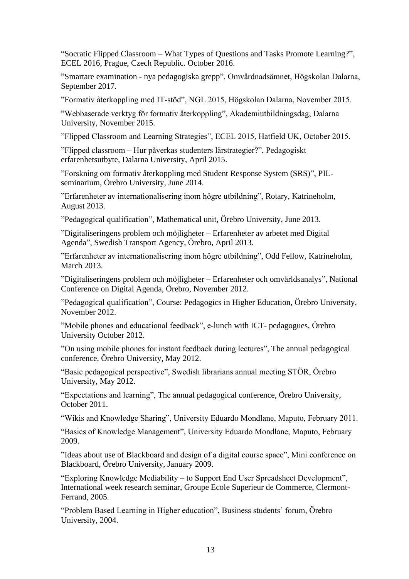"Socratic Flipped Classroom – What Types of Questions and Tasks Promote Learning?", ECEL 2016, Prague, Czech Republic. October 2016.

"Smartare examination - nya pedagogiska grepp", Omvårdnadsämnet, Högskolan Dalarna, September 2017.

"Formativ återkoppling med IT-stöd", NGL 2015, Högskolan Dalarna, November 2015.

"Webbaserade verktyg för formativ återkoppling", Akademiutbildningsdag, Dalarna University, November 2015.

"Flipped Classroom and Learning Strategies", ECEL 2015, Hatfield UK, October 2015.

"Flipped classroom – Hur påverkas studenters lärstrategier?", Pedagogiskt erfarenhetsutbyte, Dalarna University, April 2015.

"Forskning om formativ återkoppling med Student Response System (SRS)", PILseminarium, Örebro University, June 2014.

"Erfarenheter av internationalisering inom högre utbildning", Rotary, Katrineholm, August 2013.

"Pedagogical qualification", Mathematical unit, Örebro University, June 2013.

"Digitaliseringens problem och möjligheter – Erfarenheter av arbetet med Digital Agenda", Swedish Transport Agency, Örebro, April 2013.

"Erfarenheter av internationalisering inom högre utbildning", Odd Fellow, Katrineholm, March 2013.

"Digitaliseringens problem och möjligheter – Erfarenheter och omvärldsanalys", National Conference on Digital Agenda, Örebro, November 2012.

"Pedagogical qualification", Course: Pedagogics in Higher Education, Örebro University, November 2012.

"Mobile phones and educational feedback", e-lunch with ICT- pedagogues, Örebro University October 2012.

"On using mobile phones for instant feedback during lectures", The annual pedagogical conference, Örebro University, May 2012.

"Basic pedagogical perspective", Swedish librarians annual meeting STÖR, Örebro University, May 2012.

"Expectations and learning", The annual pedagogical conference, Örebro University, October 2011.

"Wikis and Knowledge Sharing", University Eduardo Mondlane, Maputo, February 2011.

"Basics of Knowledge Management", University Eduardo Mondlane, Maputo, February 2009.

"Ideas about use of Blackboard and design of a digital course space", Mini conference on Blackboard, Örebro University, January 2009.

"Exploring Knowledge Mediability – to Support End User Spreadsheet Development", International week research seminar, Groupe Ecole Superieur de Commerce, Clermont-Ferrand, 2005.

"Problem Based Learning in Higher education", Business students' forum, Örebro University, 2004.